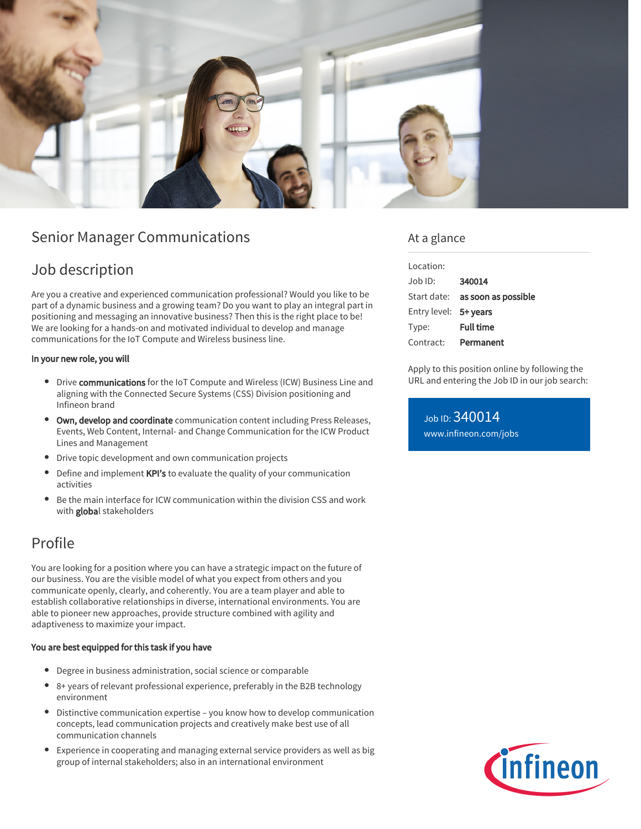

# Senior Manager Communications

## Job description

Are you a creative and experienced communication professional? Would you like to be part of a dynamic business and a growing team? Do you want to play an integral part in positioning and messaging an innovative business? Then this is the right place to be! We are looking for a hands-on and motivated individual to develop and manage communications for the IoT Compute and Wireless business line.

#### In your new role, you will

- **Drive communications** for the IoT Compute and Wireless (ICW) Business Line and aligning with the Connected Secure Systems (CSS) Division positioning and Infineon brand
- **Own, develop and coordinate** communication content including Press Releases, Events, Web Content, Internal- and Change Communication for the ICW Product Lines and Management
- Drive topic development and own communication projects
- Define and implement KPI's to evaluate the quality of your communication activities
- Be the main interface for ICW communication within the division CSS and work with global stakeholders

# Profile

You are looking for a position where you can have a strategic impact on the future of our business. You are the visible model of what you expect from others and you communicate openly, clearly, and coherently. You are a team player and able to establish collaborative relationships in diverse, international environments. You are able to pioneer new approaches, provide structure combined with agility and adaptiveness to maximize your impact.

#### You are best equipped for this task if you have

- Degree in business administration, social science or comparable
- 8+ years of relevant professional experience, preferably in the B2B technology environment
- Distinctive communication expertise you know how to develop communication concepts, lead communication projects and creatively make best use of all communication channels
- Experience in cooperating and managing external service providers as well as big group of internal stakeholders; also in an international environment

### At a glance

| Location:             |                                        |
|-----------------------|----------------------------------------|
| $Joh$ ID:             | 340014                                 |
|                       | Start date: <b>as soon as possible</b> |
| Entry level: 5+ years |                                        |
| Type:                 | <b>Full time</b>                       |
| Contract:             | Permanent                              |

Apply to this position online by following the URL and entering the Job ID in our job search:

Job ID: 340014 [www.infineon.com/jobs](https://www.infineon.com/jobs)